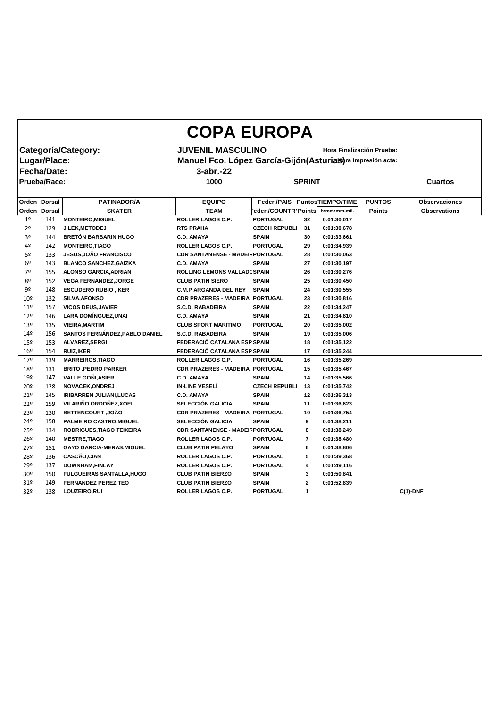## **COPA EUROPA**

**Categoría/Category:** JUVENIL MASCULINO<br>|Lugar/Place: Manuel Fco. López García-Gijón(Asturias)<sup>ra Impresión acta:</sup> **Manuel Fco. López García-Gijón(Asturias)** ra Impresión acta: **Fecha/Date: 3-abr.-22**

**Prueba/Race: 1000 SPRINT Cuartos**

| <b>Orden</b>    | <b>Dorsal</b>       | <b>PATINADOR/A</b>               | <b>EQUIPO</b>                           | Feder./PAIS            |              | <b>PuntosTIEMPO/TIME</b> | <b>PUNTOS</b> | <b>Observaciones</b> |
|-----------------|---------------------|----------------------------------|-----------------------------------------|------------------------|--------------|--------------------------|---------------|----------------------|
|                 | <b>Orden</b> Dorsal | <b>SKATER</b>                    | <b>TEAM</b>                             | Feder./COUNTR   Points |              | h:mm:mm,mil.             | <b>Points</b> | <b>Observations</b>  |
| 1 <sup>o</sup>  | 141                 | <b>MONTEIRO, MIGUEL</b>          | ROLLER LAGOS C.P.                       | <b>PORTUGAL</b>        | 32           | 0:01:30,017              |               |                      |
| 2 <sup>o</sup>  | 129                 | JILEK, METODEJ                   | <b>RTS PRAHA</b>                        | <b>CZECH REPUBLI</b>   | 31           | 0:01:30,678              |               |                      |
| 3º              | 144                 | <b>BRETÓN BARBARIN, HUGO</b>     | <b>C.D. AMAYA</b>                       | <b>SPAIN</b>           | 30           | 0:01:33,661              |               |                      |
| 4º              | 142                 | <b>MONTEIRO, TIAGO</b>           | ROLLER LAGOS C.P.                       | <b>PORTUGAL</b>        | 29           | 0:01:34,939              |               |                      |
| 5 <sup>o</sup>  | 133                 | <b>JESUS, JOÃO FRANCISCO</b>     | <b>CDR SANTANENSE - MADEIF PORTUGAL</b> |                        | 28           | 0:01:30,063              |               |                      |
| 6 <sup>o</sup>  | 143                 | <b>BLANCO SANCHEZ, GAIZKA</b>    | <b>C.D. AMAYA</b>                       | <b>SPAIN</b>           | 27           | 0:01:30,197              |               |                      |
| 7º              | 155                 | <b>ALONSO GARCIA, ADRIAN</b>     | ROLLING LEMONS VALLAD(SPAIN             |                        | 26           | 0:01:30,276              |               |                      |
| 8 <sup>o</sup>  | 152                 | <b>VEGA FERNANDEZ, JORGE</b>     | <b>CLUB PATIN SIERO</b>                 | <b>SPAIN</b>           | 25           | 0:01:30,450              |               |                      |
| 9º              | 148                 | <b>ESCUDERO RUBIO , IKER</b>     | <b>C.M.P ARGANDA DEL REY</b>            | <b>SPAIN</b>           | 24           | 0:01:30,555              |               |                      |
| 10 <sup>°</sup> | 132                 | <b>SILVA, AFONSO</b>             | CDR PRAZERES - MADEIRA PORTUGAL         |                        | 23           | 0:01:30,816              |               |                      |
| $11^{\circ}$    | 157                 | <b>VICOS DEUS, JAVIER</b>        | <b>S.C.D. RABADEIRA</b>                 | <b>SPAIN</b>           | 22           | 0:01:34,247              |               |                      |
| $12^{\circ}$    | 146                 | <b>LARA DOMÍNGUEZ, UNAI</b>      | <b>C.D. AMAYA</b>                       | <b>SPAIN</b>           | 21           | 0:01:34,810              |               |                      |
| 13 <sup>°</sup> | 135                 | <b>VIEIRA, MARTIM</b>            | <b>CLUB SPORT MARITIMO</b>              | <b>PORTUGAL</b>        | 20           | 0:01:35,002              |               |                      |
| 14 <sup>°</sup> | 156                 | SANTOS FERNÁNDEZ, PABLO DANIEL   | <b>S.C.D. RABADEIRA</b>                 | <b>SPAIN</b>           | 19           | 0:01:35,006              |               |                      |
| $15^{\circ}$    | 153                 | ALVAREZ, SERGI                   | FEDERACIÓ CATALANA ESP SPAIN            |                        | 18           | 0:01:35,122              |               |                      |
| $16^{\circ}$    | 154                 | <b>RUIZ, IKER</b>                | FEDERACIÓ CATALANA ESP SPAIN            |                        | 17           | 0:01:35,244              |               |                      |
| 17 <sup>°</sup> | 139                 | <b>MARREIROS, TIAGO</b>          | <b>ROLLER LAGOS C.P.</b>                | <b>PORTUGAL</b>        | 16           | 0:01:35,269              |               |                      |
| 18º             | 131                 | <b>BRITO, PEDRO PARKER</b>       | CDR PRAZERES - MADEIRA PORTUGAL         |                        | 15           | 0:01:35,467              |               |                      |
| 19 <sup>°</sup> | 147                 | <b>VALLE GONI, ASIER</b>         | <b>C.D. AMAYA</b>                       | <b>SPAIN</b>           | 14           | 0:01:35,566              |               |                      |
| $20^{\circ}$    | 128                 | NOVACEK, ONDREJ                  | <b>IN-LINE VESELÍ</b>                   | <b>CZECH REPUBLI</b>   | 13           | 0:01:35,742              |               |                      |
| 21°             | 145                 | <b>IRIBARREN JULIANI, LUCAS</b>  | <b>C.D. AMAYA</b>                       | <b>SPAIN</b>           | 12           | 0:01:36,313              |               |                      |
| 22º             | 159                 | VILARIÑO ORDOÑEZ, XOEL           | <b>SELECCIÓN GALICIA</b>                | <b>SPAIN</b>           | 11           | 0:01:36,623              |               |                      |
| 23 <sup>°</sup> | 130                 | <b>BETTENCOURT, JOÃO</b>         | <b>CDR PRAZERES - MADEIRA PORTUGAL</b>  |                        | 10           | 0:01:36,754              |               |                      |
| 24º             | 158                 | PALMEIRO CASTRO, MIGUEL          | <b>SELECCIÓN GALICIA</b>                | <b>SPAIN</b>           | 9            | 0:01:38,211              |               |                      |
| 25 <sup>°</sup> | 134                 | RODRIGUES, TIAGO TEIXEIRA        | <b>CDR SANTANENSE - MADEIF PORTUGAL</b> |                        | 8            | 0:01:38,249              |               |                      |
| 26 <sup>°</sup> | 140                 | <b>MESTRE, TIAGO</b>             | <b>ROLLER LAGOS C.P.</b>                | <b>PORTUGAL</b>        | 7            | 0:01:38,480              |               |                      |
| 27 <sup>°</sup> | 151                 | <b>GAYO GARCIA-MERAS, MIGUEL</b> | <b>CLUB PATIN PELAYO</b>                | <b>SPAIN</b>           | 6            | 0:01:38,806              |               |                      |
| 28º             | 136                 | CASCÃO, CIAN                     | ROLLER LAGOS C.P.                       | <b>PORTUGAL</b>        | 5            | 0:01:39,368              |               |                      |
| 29º             | 137                 | <b>DOWNHAM, FINLAY</b>           | <b>ROLLER LAGOS C.P.</b>                | <b>PORTUGAL</b>        | 4            | 0:01:49,116              |               |                      |
| 30 <sup>o</sup> | 150                 | <b>FULGUEIRAS SANTALLA, HUGO</b> | <b>CLUB PATIN BIERZO</b>                | <b>SPAIN</b>           | 3            | 0:01:50,841              |               |                      |
| 31 <sup>o</sup> | 149                 | <b>FERNANDEZ PEREZ, TEO</b>      | <b>CLUB PATIN BIERZO</b>                | <b>SPAIN</b>           | $\mathbf{2}$ | 0:01:52,839              |               |                      |
| 32º             | 138                 | LOUZEIRO, RUI                    | ROLLER LAGOS C.P.                       | <b>PORTUGAL</b>        | 1            |                          |               | $C(1)$ -DNF          |